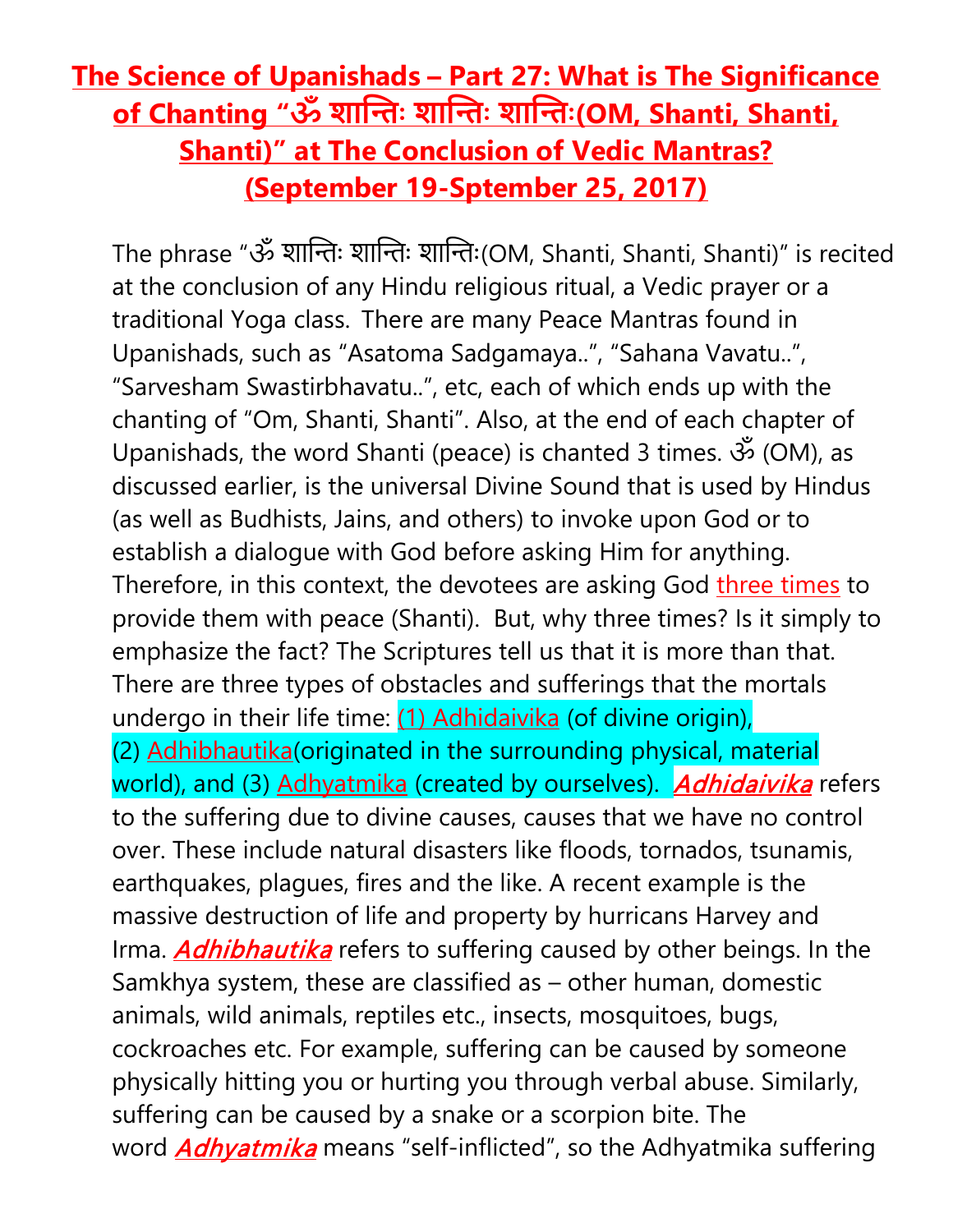## **The Science of Upanishads – Part 27: What is The Significance of Chanting "ॐ शा��ः शा��ः शा��ः(OM, Shanti, Shanti, Shanti)" at The Conclusion of Vedic Mantras? (September 19-Sptember 25, 2017)**

The phrase "ॐ शान्तिः शान्तिः शान्तिः(OM, Shanti, Shanti, Shanti)" is recited at the conclusion of any Hindu religious ritual, a Vedic prayer or a traditional Yoga class. There are many Peace Mantras found in Upanishads, such as "Asatoma Sadgamaya..", "Sahana Vavatu..", "Sarvesham Swastirbhavatu..", etc, each of which ends up with the chanting of "Om, Shanti, Shanti". Also, at the end of each chapter of Upanishads, the word Shanti (peace) is chanted 3 times. ॐ (OM), as discussed earlier, is the universal Divine Sound that is used by Hindus (as well as Budhists, Jains, and others) to invoke upon God or to establish a dialogue with God before asking Him for anything. Therefore, in this context, the devotees are asking God three times to provide them with peace (Shanti). But, why three times? Is it simply to emphasize the fact? The Scriptures tell us that it is more than that. There are three types of obstacles and sufferings that the mortals undergo in their life time: (1) Adhidaivika (of divine origin), (2) Adhibhautika(originated in the surrounding physical, material world), and (3) Adhyatmika (created by ourselves). **Adhidaivika** refers to the suffering due to divine causes, causes that we have no control over. These include natural disasters like floods, tornados, tsunamis, earthquakes, plagues, fires and the like. A recent example is the massive destruction of life and property by hurricans Harvey and Irma. **Adhibhautika** refers to suffering caused by other beings. In the Samkhya system, these are classified as – other human, domestic animals, wild animals, reptiles etc., insects, mosquitoes, bugs, cockroaches etc. For example, suffering can be caused by someone physically hitting you or hurting you through verbal abuse. Similarly, suffering can be caused by a snake or a scorpion bite. The word **Adhyatmika** means "self-inflicted", so the Adhyatmika suffering